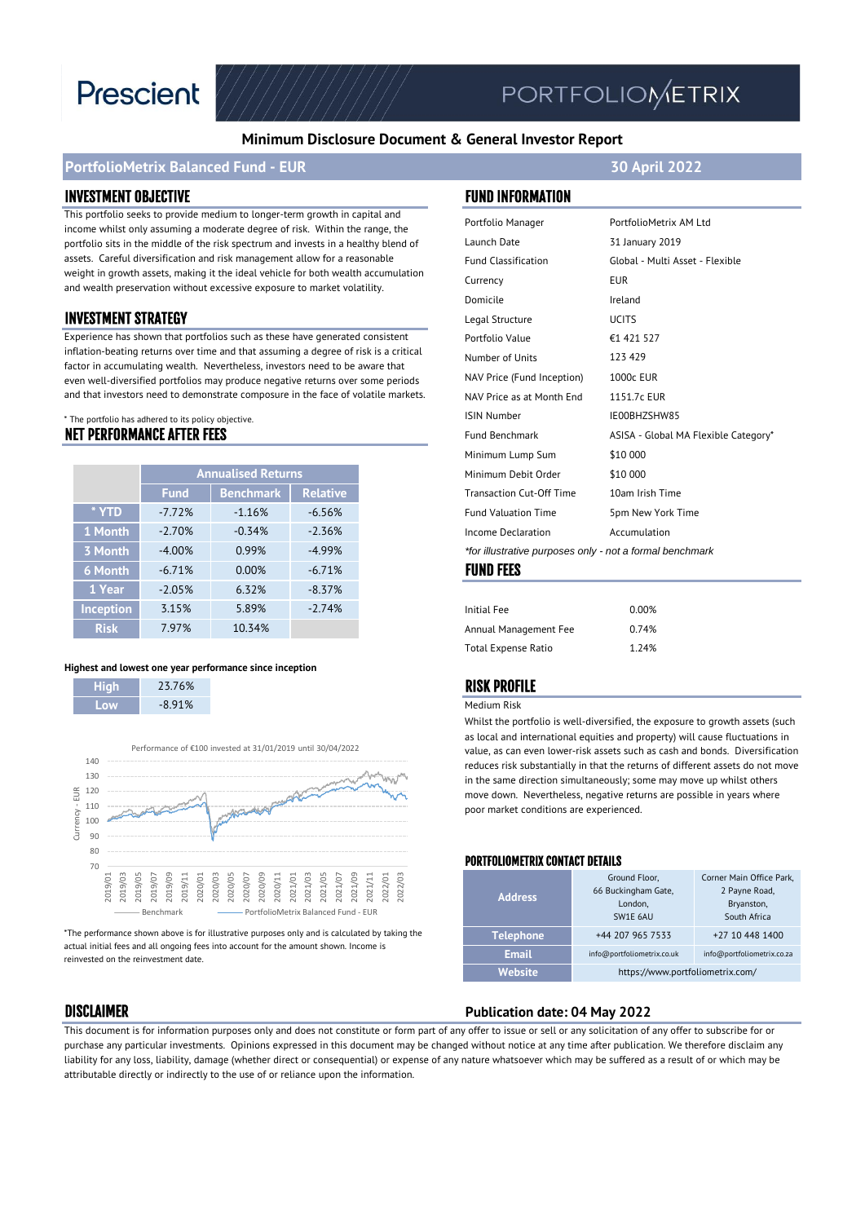

# PORTFOLIOMETRIX

#### **Minimum Disclosure Document & General Investor Report**

#### **PortfolioMetrix Balanced Fund - EUR 30 April 2022**

#### INVESTMENT OBJECTIVE FUND INFORMATION

This portfolio seeks to provide medium to longer-term growth in capital and income whilst only assuming a moderate degree of risk. Within the range, the portfolio sits in the middle of the risk spectrum and invests in a healthy blend of assets. Careful diversification and risk management allow for a reasonable weight in growth assets, making it the ideal vehicle for both wealth accumulation and wealth preservation without excessive exposure to market volatility.

#### **INVESTMENT STRATEGY**

Experience has shown that portfolios such as these have generated consistent inflation-beating returns over time and that assuming a degree of risk is a critical factor in accumulating wealth. Nevertheless, investors need to be aware that even well-diversified portfolios may produce negative returns over some periods and that investors need to demonstrate composure in the face of volatile markets.

#### \* The portfolio has adhered to its policy objective.

#### NET PERFORMANCE AFTER FEES

|             | <b>Annualised Returns</b> |                  |                 |
|-------------|---------------------------|------------------|-----------------|
|             | <b>Fund</b>               | <b>Benchmark</b> | <b>Relative</b> |
| * YTD       | $-777%$                   | $-1.16%$         | $-6.56%$        |
| 1 Month     | $-2.70%$                  | $-0.34%$         | $-2.36%$        |
| 3 Month     | $-4.00%$                  | 0.99%            | $-4.99%$        |
| 6 Month     | $-671%$                   | 0.00%            | $-671%$         |
| $1$ Year    | $-2.05%$                  | 6.32%            | $-8.37%$        |
| Inception   | 3.15%                     | 5.89%            | $-2.74%$        |
| <b>Risk</b> | 7.97%                     | 10.34%           |                 |

#### **Highest and lowest one year performance since inception**

| 23.76%   |
|----------|
| $-8.91%$ |



\*The performance shown above is for illustrative purposes only and is calculated by taking the actual initial fees and all ongoing fees into account for the amount shown. Income is reinvested on the reinvestment date.

| Portfolio Manager                                        | PortfolioMetrix AM Ltd               |  |
|----------------------------------------------------------|--------------------------------------|--|
| Launch Date                                              | 31 January 2019                      |  |
| <b>Fund Classification</b>                               | Global - Multi Asset - Flexible      |  |
| Currency                                                 | <b>EUR</b>                           |  |
| Domicile                                                 | Ireland                              |  |
| Legal Structure                                          | <b>UCITS</b>                         |  |
| Portfolio Value                                          | €1 421 527                           |  |
| Number of Units                                          | 123 429                              |  |
| NAV Price (Fund Inception)                               | <b>1000c EUR</b>                     |  |
| NAV Price as at Month End                                | 1151.7c EUR                          |  |
| <b>ISIN Number</b>                                       | IE00BHZSHW85                         |  |
| <b>Fund Benchmark</b>                                    | ASISA - Global MA Flexible Category* |  |
| Minimum Lump Sum                                         | \$10 000                             |  |
| Minimum Debit Order                                      | \$10 000                             |  |
| <b>Transaction Cut-Off Time</b>                          | 10am Irish Time                      |  |
| <b>Fund Valuation Time</b>                               | 5pm New York Time                    |  |
| Income Declaration                                       | Accumulation                         |  |
| *for illustrative purposes only - not a formal benchmark |                                      |  |
| <b>FUND FEES</b>                                         |                                      |  |

| Initial Fee                | 0.00% |
|----------------------------|-------|
| Annual Management Fee      | 0.74% |
| <b>Total Expense Ratio</b> | 1.24% |

#### RISK PROFILE

#### Medium Risk

Whilst the portfolio is well-diversified, the exposure to growth assets (such as local and international equities and property) will cause fluctuations in value, as can even lower-risk assets such as cash and bonds. Diversification reduces risk substantially in that the returns of different assets do not move in the same direction simultaneously; some may move up whilst others move down. Nevertheless, negative returns are possible in years where poor market conditions are experienced.

#### PORTFOLIOMETRIX CONTACT DETAILS

| <b>Address</b>   | Ground Floor,<br>66 Buckingham Gate,<br>London.<br>SW1E 6AU | Corner Main Office Park,<br>2 Payne Road,<br>Bryanston,<br>South Africa |
|------------------|-------------------------------------------------------------|-------------------------------------------------------------------------|
| <b>Telephone</b> | +44 207 965 7533                                            | +27 10 448 1400                                                         |
| <b>Email</b>     | info@portfoliometrix.co.uk                                  | info@portfoliometrix.co.za                                              |
| <b>Website</b>   | https://www.portfoliometrix.com/                            |                                                                         |

### DISCLAIMER **Publication date: 04 May 2022**

This document is for information purposes only and does not constitute or form part of any offer to issue or sell or any solicitation of any offer to subscribe for or purchase any particular investments. Opinions expressed in this document may be changed without notice at any time after publication. We therefore disclaim any liability for any loss, liability, damage (whether direct or consequential) or expense of any nature whatsoever which may be suffered as a result of or which may be attributable directly or indirectly to the use of or reliance upon the information.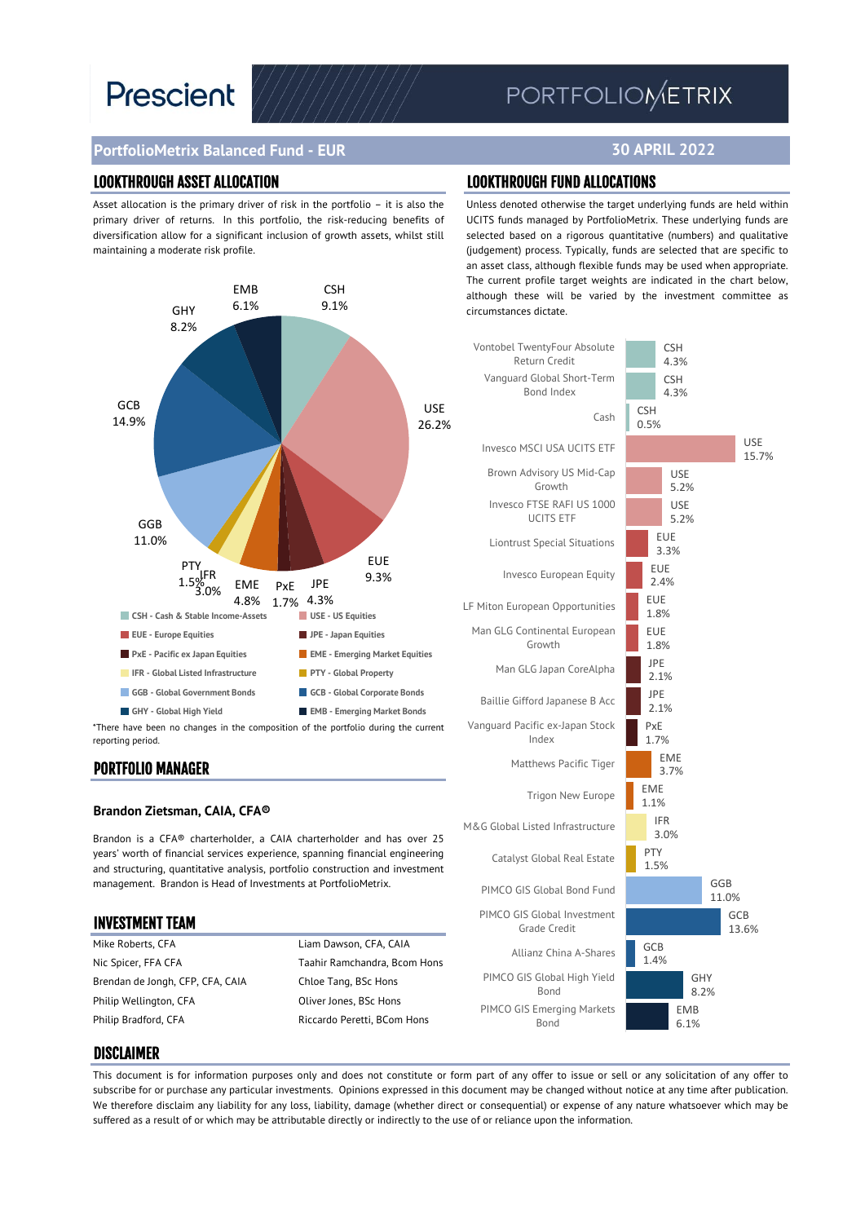# **Prescient**

## PORTFOLIOMETRIX

**30 APRIL 2022**

## **PortfolioMetrix Balanced Fund - EUR**

#### LOOKTHROUGH ASSET ALLOCATION LOOKTHROUGH FUND ALLOCATIONS

Asset allocation is the primary driver of risk in the portfolio – it is also the primary driver of returns. In this portfolio, the risk-reducing benefits of diversification allow for a significant inclusion of growth assets, whilst still maintaining a moderate risk profile.



reporting period.

#### PORTFOLIO MANAGER

#### **Brandon Zietsman, CAIA, CFA®**

Brandon is a CFA® charterholder, a CAIA charterholder and has over 25 years' worth of financial services experience, spanning financial engineering and structuring, quantitative analysis, portfolio construction and investment management. Brandon is Head of Investments at PortfolioMetrix.

#### INVESTMENT TEAM

Mike Roberts, CFA **Liam Dawson, CFA, CAIA** Nic Spicer, FFA CFA Taahir Ramchandra, Bcom Hons Brendan de Jongh, CFP, CFA, CAIA Chloe Tang, BSc Hons Philip Wellington, CFA Oliver Jones, BSc Hons Philip Bradford, CFA Riccardo Peretti, BCom Hons

Unless denoted otherwise the target underlying funds are held within UCITS funds managed by PortfolioMetrix. These underlying funds are selected based on a rigorous quantitative (numbers) and qualitative (judgement) process. Typically, funds are selected that are specific to an asset class, although flexible funds may be used when appropriate. The current profile target weights are indicated in the chart below, although these will be varied by the investment committee as circumstances dictate.



#### DISCLAIMER

This document is for information purposes only and does not constitute or form part of any offer to issue or sell or any solicitation of any offer to subscribe for or purchase any particular investments. Opinions expressed in this document may be changed without notice at any time after publication. We therefore disclaim any liability for any loss, liability, damage (whether direct or consequential) or expense of any nature whatsoever which may be suffered as a result of or which may be attributable directly or indirectly to the use of or reliance upon the information.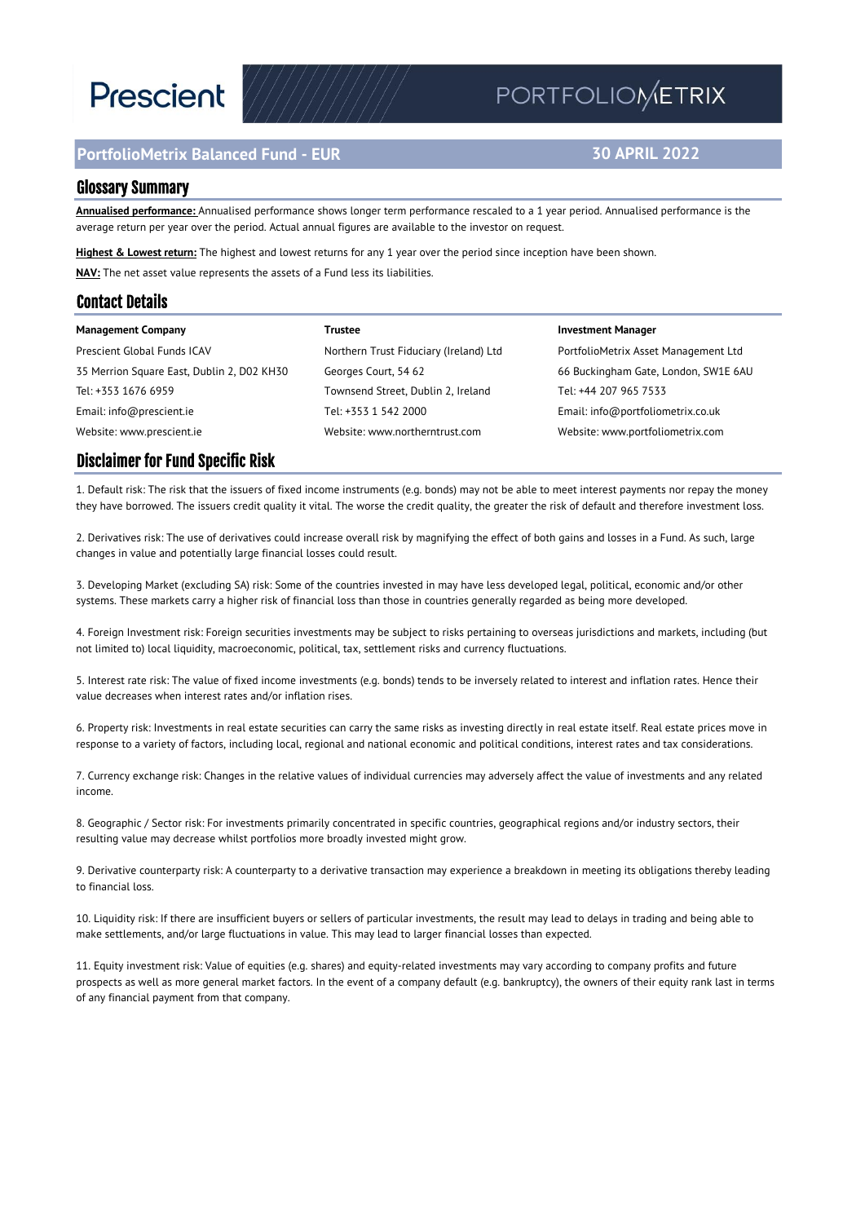# **Prescient**

### **PortfolioMetrix Balanced Fund - EUR**

## PORTFOLIOMETRIX

### **30 APRIL 2022**

#### Glossary Summary

**Annualised performance:** Annualised performance shows longer term performance rescaled to a 1 year period. Annualised performance is the average return per year over the period. Actual annual figures are available to the investor on request.

**Highest & Lowest return:** The highest and lowest returns for any 1 year over the period since inception have been shown. **NAV:** The net asset value represents the assets of a Fund less its liabilities.

#### Contact Details

| <b>Management Company</b>                  | Trustee                                | <b>Investment Manager</b>            |
|--------------------------------------------|----------------------------------------|--------------------------------------|
| Prescient Global Funds ICAV                | Northern Trust Fiduciary (Ireland) Ltd | PortfolioMetrix Asset Management Ltd |
| 35 Merrion Square East, Dublin 2, D02 KH30 | Georges Court, 54 62                   | 66 Buckingham Gate, London, SW1E 6AU |
| Tel: +353 1676 6959                        | Townsend Street, Dublin 2, Ireland     | Tel: +44 207 965 7533                |
| Email: info@prescient.ie                   | Tel: +353 1 542 2000                   | Email: info@portfoliometrix.co.uk    |
| Website: www.prescient.ie                  | Website: www.northerntrust.com         | Website: www.portfoliometrix.com     |

#### Disclaimer for Fund Specific Risk

1. Default risk: The risk that the issuers of fixed income instruments (e.g. bonds) may not be able to meet interest payments nor repay the money they have borrowed. The issuers credit quality it vital. The worse the credit quality, the greater the risk of default and therefore investment loss.

2. Derivatives risk: The use of derivatives could increase overall risk by magnifying the effect of both gains and losses in a Fund. As such, large changes in value and potentially large financial losses could result.

3. Developing Market (excluding SA) risk: Some of the countries invested in may have less developed legal, political, economic and/or other systems. These markets carry a higher risk of financial loss than those in countries generally regarded as being more developed.

4. Foreign Investment risk: Foreign securities investments may be subject to risks pertaining to overseas jurisdictions and markets, including (but not limited to) local liquidity, macroeconomic, political, tax, settlement risks and currency fluctuations.

5. Interest rate risk: The value of fixed income investments (e.g. bonds) tends to be inversely related to interest and inflation rates. Hence their value decreases when interest rates and/or inflation rises.

6. Property risk: Investments in real estate securities can carry the same risks as investing directly in real estate itself. Real estate prices move in response to a variety of factors, including local, regional and national economic and political conditions, interest rates and tax considerations.

7. Currency exchange risk: Changes in the relative values of individual currencies may adversely affect the value of investments and any related income.

8. Geographic / Sector risk: For investments primarily concentrated in specific countries, geographical regions and/or industry sectors, their resulting value may decrease whilst portfolios more broadly invested might grow.

9. Derivative counterparty risk: A counterparty to a derivative transaction may experience a breakdown in meeting its obligations thereby leading to financial loss.

10. Liquidity risk: If there are insufficient buyers or sellers of particular investments, the result may lead to delays in trading and being able to make settlements, and/or large fluctuations in value. This may lead to larger financial losses than expected.

11. Equity investment risk: Value of equities (e.g. shares) and equity-related investments may vary according to company profits and future prospects as well as more general market factors. In the event of a company default (e.g. bankruptcy), the owners of their equity rank last in terms of any financial payment from that company.